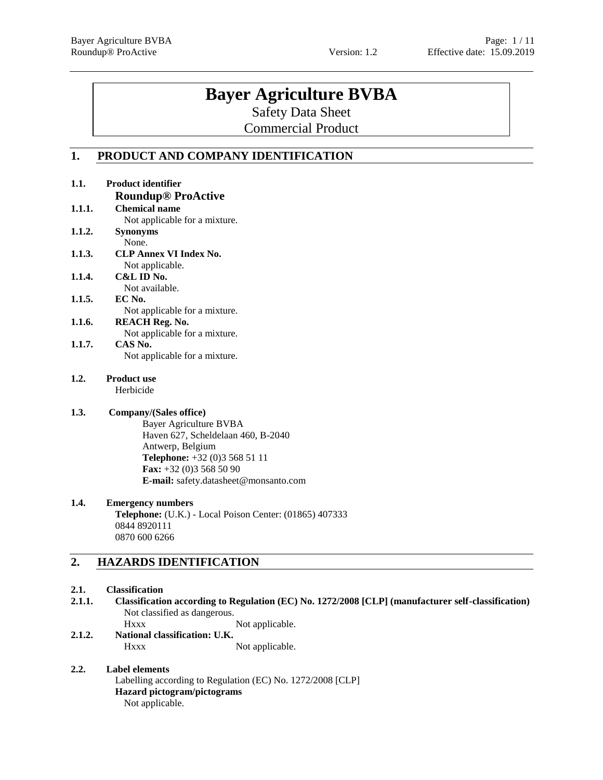**1.1. Product identifier**

# **Bayer Agriculture BVBA**

Safety Data Sheet

Commercial Product

## **1. PRODUCT AND COMPANY IDENTIFICATION**

|        | <b>Roundup® ProActive</b>                               |
|--------|---------------------------------------------------------|
| 1.1.1. | <b>Chemical name</b>                                    |
|        | Not applicable for a mixture.                           |
| 1.1.2. | <b>Synonyms</b>                                         |
|        | None.                                                   |
| 1.1.3. | <b>CLP Annex VI Index No.</b>                           |
|        | Not applicable.                                         |
| 1.1.4. | C&L ID No.                                              |
|        | Not available.                                          |
| 1.1.5. | EC No.                                                  |
|        | Not applicable for a mixture.                           |
| 1.1.6. | <b>REACH Reg. No.</b>                                   |
|        | Not applicable for a mixture.                           |
| 1.1.7. | CAS No.                                                 |
|        | Not applicable for a mixture.                           |
| 1.2.   | <b>Product use</b>                                      |
|        | Herbicide                                               |
| 1.3.   | Company/(Sales office)                                  |
|        | <b>Bayer Agriculture BVBA</b>                           |
|        | Haven 627, Scheldelaan 460, B-2040                      |
|        | Antwerp, Belgium                                        |
|        | Telephone: +32 (0)3 568 51 11                           |
|        | Fax: $+32$ (0)3 568 50 90                               |
|        | E-mail: safety.datasheet@monsanto.com                   |
| 1.4.   | <b>Emergency numbers</b>                                |
|        | Telephone: (U.K.) - Local Poison Center: (01865) 407333 |
|        | 0844 8920111                                            |
|        | 0870 600 6266                                           |
|        |                                                         |
| 2.     | <b>HAZARDS IDENTIFICATION</b>                           |

## **2.1. Classification**

**2.1.1. Classification according to Regulation (EC) No. 1272/2008 [CLP] (manufacturer self-classification)** Not classified as dangerous.

Hxxx Not applicable.

**2.1.2. National classification: U.K.** Hxxx Not applicable.

## **2.2. Label elements**

Labelling according to Regulation (EC) No. 1272/2008 [CLP] **Hazard pictogram/pictograms** Not applicable.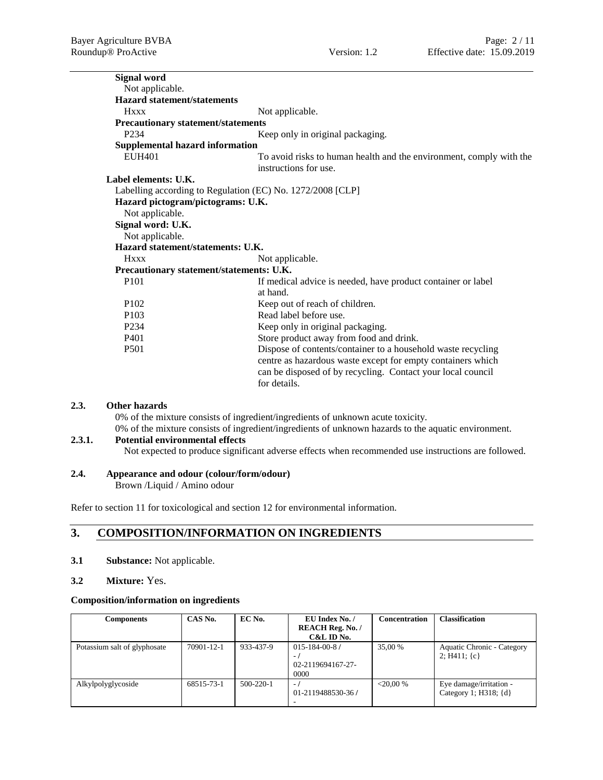| <b>Signal word</b>                                         |                                                                                                                                                                                                            |
|------------------------------------------------------------|------------------------------------------------------------------------------------------------------------------------------------------------------------------------------------------------------------|
| Not applicable.                                            |                                                                                                                                                                                                            |
| <b>Hazard statement/statements</b>                         |                                                                                                                                                                                                            |
| <b>Hxxx</b>                                                | Not applicable.                                                                                                                                                                                            |
| <b>Precautionary statement/statements</b>                  |                                                                                                                                                                                                            |
| P <sub>2</sub> 34                                          | Keep only in original packaging.                                                                                                                                                                           |
| <b>Supplemental hazard information</b>                     |                                                                                                                                                                                                            |
| EUH401                                                     | To avoid risks to human health and the environment, comply with the<br>instructions for use.                                                                                                               |
| Label elements: U.K.                                       |                                                                                                                                                                                                            |
| Labelling according to Regulation (EC) No. 1272/2008 [CLP] |                                                                                                                                                                                                            |
| Hazard pictogram/pictograms: U.K.                          |                                                                                                                                                                                                            |
| Not applicable.                                            |                                                                                                                                                                                                            |
| Signal word: U.K.                                          |                                                                                                                                                                                                            |
| Not applicable.                                            |                                                                                                                                                                                                            |
| Hazard statement/statements: U.K.                          |                                                                                                                                                                                                            |
| <b>Hxxx</b>                                                | Not applicable.                                                                                                                                                                                            |
| Precautionary statement/statements: U.K.                   |                                                                                                                                                                                                            |
| P101                                                       | If medical advice is needed, have product container or label                                                                                                                                               |
|                                                            | at hand.                                                                                                                                                                                                   |
| P <sub>102</sub>                                           | Keep out of reach of children.                                                                                                                                                                             |
| P <sub>103</sub>                                           | Read label before use.                                                                                                                                                                                     |
| P <sub>2</sub> 34                                          | Keep only in original packaging.                                                                                                                                                                           |
| P <sub>401</sub>                                           | Store product away from food and drink.                                                                                                                                                                    |
| P <sub>501</sub>                                           | Dispose of contents/container to a household waste recycling<br>centre as hazardous waste except for empty containers which<br>can be disposed of by recycling. Contact your local council<br>for details. |

## **2.3. Other hazards**

0% of the mixture consists of ingredient/ingredients of unknown acute toxicity. 0% of the mixture consists of ingredient/ingredients of unknown hazards to the aquatic environment.

## **2.3.1. Potential environmental effects**

Not expected to produce significant adverse effects when recommended use instructions are followed.

## **2.4. Appearance and odour (colour/form/odour)**

Brown /Liquid / Amino odour

Refer to section 11 for toxicological and section 12 for environmental information.

## **3. COMPOSITION/INFORMATION ON INGREDIENTS**

- **3.1 Substance:** Not applicable.
- **3.2 Mixture:** Yes.

#### **Composition/information on ingredients**

| <b>Components</b>            | CAS No.    | EC No.          | EU Index No. /                                            | <b>Concentration</b> | <b>Classification</b>                                |
|------------------------------|------------|-----------------|-----------------------------------------------------------|----------------------|------------------------------------------------------|
|                              |            |                 | <b>REACH Reg. No. /</b>                                   |                      |                                                      |
|                              |            |                 | C&L ID No.                                                |                      |                                                      |
| Potassium salt of glyphosate | 70901-12-1 | 933-437-9       | $015 - 184 - 00 - 87$<br>н.,<br>02-2119694167-27-<br>0000 | 35,00 %              | Aquatic Chronic - Category<br>2; H411; $\{c\}$       |
| Alkylpolyglycoside           | 68515-73-1 | $500 - 220 - 1$ | $\blacksquare$<br>01-2119488530-36/                       | $< 20.00\%$          | Eye damage/irritation -<br>Category 1; H318; $\{d\}$ |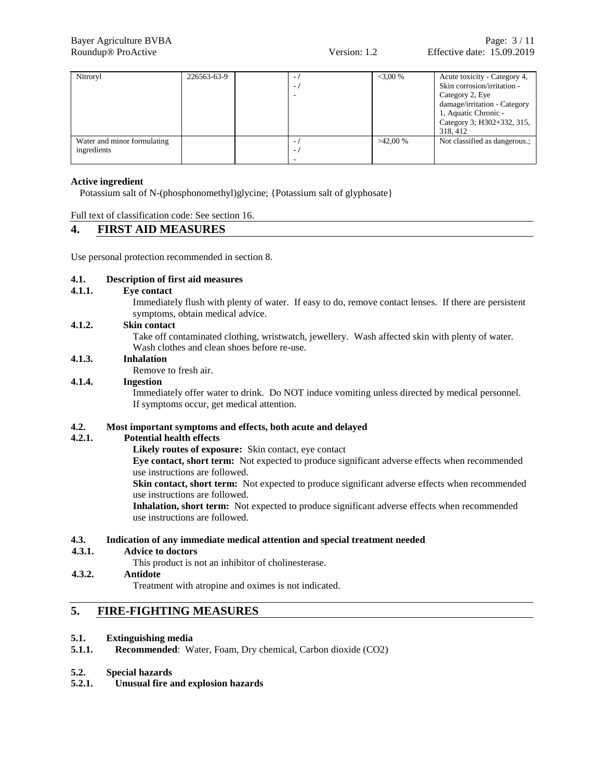| Nitroryl                    | 226563-63-9 | $\overline{\phantom{a}}$ | $<3.00\%$  | Acute toxicity - Category 4,  |
|-----------------------------|-------------|--------------------------|------------|-------------------------------|
|                             |             | Ξ.                       |            | Skin corrosion/irritation -   |
|                             |             |                          |            | Category 2, Eye               |
|                             |             |                          |            | damage/irritation - Category  |
|                             |             |                          |            | 1, Aquatic Chronic -          |
|                             |             |                          |            | Category 3; H302+332, 315,    |
|                             |             |                          |            | 318, 412                      |
| Water and minor formulating |             | ٠.                       | $>42.00\%$ | Not classified as dangerous.; |
| ingredients                 |             | ٠.                       |            |                               |
|                             |             |                          |            |                               |

## **Active ingredient**

Potassium salt of N-(phosphonomethyl)glycine; {Potassium salt of glyphosate}

Full text of classification code: See section 16.

## **4. FIRST AID MEASURES**

Use personal protection recommended in section 8.

## **4.1. Description of first aid measures**

**4.1.1. Eye contact**

Immediately flush with plenty of water. If easy to do, remove contact lenses. If there are persistent symptoms, obtain medical advice.

## **4.1.2. Skin contact**

Take off contaminated clothing, wristwatch, jewellery. Wash affected skin with plenty of water. Wash clothes and clean shoes before re-use.

## **4.1.3. Inhalation**

Remove to fresh air.

## **4.1.4. Ingestion**

Immediately offer water to drink. Do NOT induce vomiting unless directed by medical personnel. If symptoms occur, get medical attention.

## **4.2. Most important symptoms and effects, both acute and delayed**

## **4.2.1. Potential health effects**

**Likely routes of exposure:** Skin contact, eye contact

**Eye contact, short term:** Not expected to produce significant adverse effects when recommended use instructions are followed.

**Skin contact, short term:** Not expected to produce significant adverse effects when recommended use instructions are followed.

**Inhalation, short term:** Not expected to produce significant adverse effects when recommended use instructions are followed.

## **4.3. Indication of any immediate medical attention and special treatment needed**

**4.3.1. Advice to doctors** This product is not an inhibitor of cholinesterase.

## **4.3.2. Antidote**

Treatment with atropine and oximes is not indicated.

## **5. FIRE-FIGHTING MEASURES**

## **5.1. Extinguishing media**

- **5.1.1. Recommended**: Water, Foam, Dry chemical, Carbon dioxide (CO2)
- **5.2. Special hazards**

## **5.2.1. Unusual fire and explosion hazards**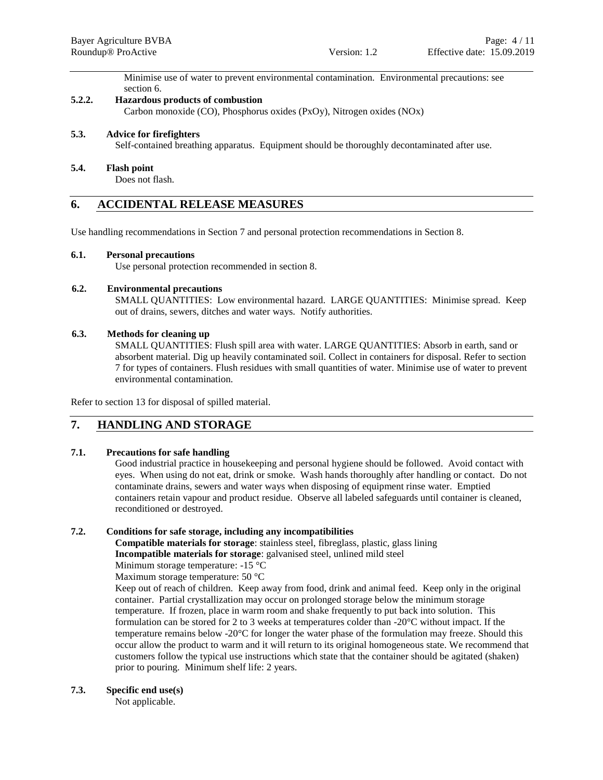Minimise use of water to prevent environmental contamination. Environmental precautions: see section 6.

## **5.2.2. Hazardous products of combustion**

Carbon monoxide (CO), Phosphorus oxides (PxOy), Nitrogen oxides (NOx)

## **5.3. Advice for firefighters**

Self-contained breathing apparatus. Equipment should be thoroughly decontaminated after use.

## **5.4. Flash point**

Does not flash.

## **6. ACCIDENTAL RELEASE MEASURES**

Use handling recommendations in Section 7 and personal protection recommendations in Section 8.

## **6.1. Personal precautions**

Use personal protection recommended in section 8.

## **6.2. Environmental precautions**

SMALL QUANTITIES: Low environmental hazard. LARGE QUANTITIES: Minimise spread. Keep out of drains, sewers, ditches and water ways. Notify authorities.

## **6.3. Methods for cleaning up**

SMALL QUANTITIES: Flush spill area with water. LARGE QUANTITIES: Absorb in earth, sand or absorbent material. Dig up heavily contaminated soil. Collect in containers for disposal. Refer to section 7 for types of containers. Flush residues with small quantities of water. Minimise use of water to prevent environmental contamination.

Refer to section 13 for disposal of spilled material.

## **7. HANDLING AND STORAGE**

## **7.1. Precautions for safe handling**

Good industrial practice in housekeeping and personal hygiene should be followed. Avoid contact with eyes. When using do not eat, drink or smoke. Wash hands thoroughly after handling or contact. Do not contaminate drains, sewers and water ways when disposing of equipment rinse water. Emptied containers retain vapour and product residue. Observe all labeled safeguards until container is cleaned, reconditioned or destroyed.

## **7.2. Conditions for safe storage, including any incompatibilities**

**Compatible materials for storage**: stainless steel, fibreglass, plastic, glass lining **Incompatible materials for storage**: galvanised steel, unlined mild steel

Minimum storage temperature: -15 °C

Maximum storage temperature: 50 °C

Keep out of reach of children. Keep away from food, drink and animal feed. Keep only in the original container. Partial crystallization may occur on prolonged storage below the minimum storage temperature. If frozen, place in warm room and shake frequently to put back into solution. This formulation can be stored for 2 to 3 weeks at temperatures colder than -20°C without impact. If the temperature remains below -20°C for longer the water phase of the formulation may freeze. Should this occur allow the product to warm and it will return to its original homogeneous state. We recommend that customers follow the typical use instructions which state that the container should be agitated (shaken) prior to pouring. Minimum shelf life: 2 years.

## **7.3. Specific end use(s)**

Not applicable.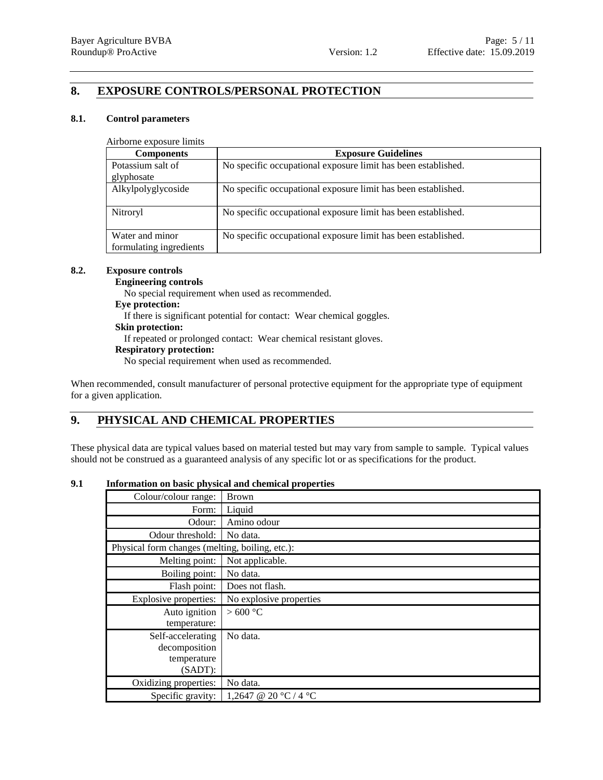## **8. EXPOSURE CONTROLS/PERSONAL PROTECTION**

## **8.1. Control parameters**

Airborne exposure limits

| <b>Components</b>                          | <b>Exposure Guidelines</b>                                    |
|--------------------------------------------|---------------------------------------------------------------|
| Potassium salt of                          | No specific occupational exposure limit has been established. |
| glyphosate                                 |                                                               |
| Alkylpolyglycoside                         | No specific occupational exposure limit has been established. |
| Nitroryl                                   | No specific occupational exposure limit has been established. |
| Water and minor<br>formulating ingredients | No specific occupational exposure limit has been established. |

## **8.2. Exposure controls**

## **Engineering controls**

No special requirement when used as recommended.

## **Eye protection:**

If there is significant potential for contact: Wear chemical goggles.

## **Skin protection:**

If repeated or prolonged contact: Wear chemical resistant gloves.

## **Respiratory protection:**

No special requirement when used as recommended.

When recommended, consult manufacturer of personal protective equipment for the appropriate type of equipment for a given application.

## **9. PHYSICAL AND CHEMICAL PROPERTIES**

These physical data are typical values based on material tested but may vary from sample to sample. Typical values should not be construed as a guaranteed analysis of any specific lot or as specifications for the product.

## **9.1 Information on basic physical and chemical properties**

| Colour/colour range:                            | <b>Brown</b>            |  |  |
|-------------------------------------------------|-------------------------|--|--|
| Form:                                           | Liquid                  |  |  |
| Odour:                                          | Amino odour             |  |  |
| Odour threshold:                                | No data.                |  |  |
| Physical form changes (melting, boiling, etc.): |                         |  |  |
| Melting point:                                  | Not applicable.         |  |  |
| Boiling point:                                  | No data.                |  |  |
| Flash point:                                    | Does not flash.         |  |  |
| Explosive properties:                           | No explosive properties |  |  |
| Auto ignition                                   | >600 °C                 |  |  |
| temperature:                                    |                         |  |  |
| Self-accelerating                               | No data.                |  |  |
| decomposition                                   |                         |  |  |
| temperature                                     |                         |  |  |
| $(SADT)$ :                                      |                         |  |  |
| Oxidizing properties:                           | No data.                |  |  |
| Specific gravity:                               | 1,2647 @ 20 °C / 4 °C   |  |  |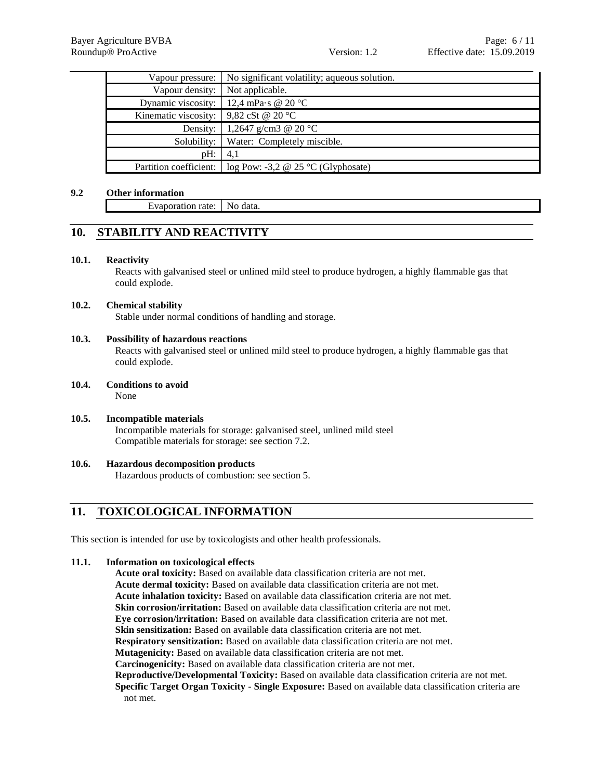|                                                                      | Vapour pressure:   No significant volatility; aqueous solution. |
|----------------------------------------------------------------------|-----------------------------------------------------------------|
| Vapour density: Not applicable.                                      |                                                                 |
|                                                                      | Dynamic viscosity: $\left  12,4 \right\rangle$ mPa·s @ 20 °C    |
| Kinematic viscosity: $\vert 9,82 \text{ cSt } @ 20 \text{ °C} \vert$ |                                                                 |
|                                                                      | Density:   1,2647 g/cm3 @ 20 °C                                 |
|                                                                      | Solubility:   Water: Completely miscible.                       |
| $pH$ :                                                               | 4,1                                                             |
|                                                                      | Partition coefficient: $\log$ Pow: -3,2 @ 25 °C (Glyphosate)    |

## **9.2 Other information**

Evaporation rate: No data.

## **10. STABILITY AND REACTIVITY**

## **10.1. Reactivity**

Reacts with galvanised steel or unlined mild steel to produce hydrogen, a highly flammable gas that could explode.

## **10.2. Chemical stability**

Stable under normal conditions of handling and storage.

## **10.3. Possibility of hazardous reactions**

Reacts with galvanised steel or unlined mild steel to produce hydrogen, a highly flammable gas that could explode.

- **10.4. Conditions to avoid** None
- **10.5. Incompatible materials** Incompatible materials for storage: galvanised steel, unlined mild steel Compatible materials for storage: see section 7.2.
- **10.6. Hazardous decomposition products** Hazardous products of combustion: see section 5.

## **11. TOXICOLOGICAL INFORMATION**

This section is intended for use by toxicologists and other health professionals.

## **11.1. Information on toxicological effects**

**Acute oral toxicity:** Based on available data classification criteria are not met. **Acute dermal toxicity:** Based on available data classification criteria are not met. **Acute inhalation toxicity:** Based on available data classification criteria are not met. **Skin corrosion/irritation:** Based on available data classification criteria are not met. **Eye corrosion/irritation:** Based on available data classification criteria are not met. **Skin sensitization:** Based on available data classification criteria are not met. **Respiratory sensitization:** Based on available data classification criteria are not met. **Mutagenicity:** Based on available data classification criteria are not met. **Carcinogenicity:** Based on available data classification criteria are not met. **Reproductive/Developmental Toxicity:** Based on available data classification criteria are not met. **Specific Target Organ Toxicity - Single Exposure:** Based on available data classification criteria are not met.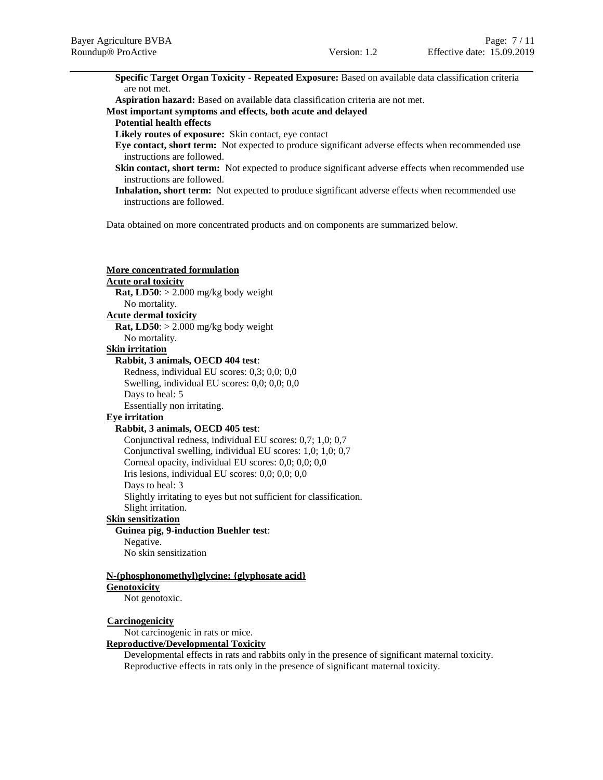**Specific Target Organ Toxicity - Repeated Exposure:** Based on available data classification criteria are not met.

**Aspiration hazard:** Based on available data classification criteria are not met.

## **Most important symptoms and effects, both acute and delayed**

## **Potential health effects**

**Likely routes of exposure:** Skin contact, eye contact

- **Eye contact, short term:** Not expected to produce significant adverse effects when recommended use instructions are followed.
- **Skin contact, short term:** Not expected to produce significant adverse effects when recommended use instructions are followed.
- **Inhalation, short term:** Not expected to produce significant adverse effects when recommended use instructions are followed.

Data obtained on more concentrated products and on components are summarized below.

| <b>More concentrated formulation</b>                               |
|--------------------------------------------------------------------|
| <b>Acute oral toxicity</b>                                         |
| Rat, LD50: $>$ 2.000 mg/kg body weight                             |
| No mortality.                                                      |
| <b>Acute dermal toxicity</b>                                       |
| <b>Rat, LD50</b> : $> 2.000$ mg/kg body weight                     |
| No mortality.                                                      |
| <b>Skin irritation</b>                                             |
| Rabbit, 3 animals, OECD 404 test:                                  |
| Redness, individual EU scores: 0,3; 0,0; 0,0                       |
| Swelling, individual EU scores: 0,0; 0,0; 0,0                      |
| Days to heal: 5                                                    |
| Essentially non irritating.                                        |
| <b>Eye</b> irritation                                              |
| Rabbit, 3 animals, OECD 405 test:                                  |
| Conjunctival redness, individual EU scores: 0,7; 1,0; 0,7          |
| Conjunctival swelling, individual EU scores: 1,0; 1,0; 0,7         |
| Corneal opacity, individual EU scores: 0,0; 0,0; 0,0               |
| Iris lesions, individual EU scores: $0,0; 0,0; 0,0$                |
| Days to heal: 3                                                    |
| Slightly irritating to eyes but not sufficient for classification. |
| Slight irritation.                                                 |
| <b>Skin sensitization</b>                                          |
| <b>Guinea pig, 9-induction Buehler test:</b>                       |
| Negative.                                                          |
| No skin sensitization                                              |
| N-(phosphonomethyl)glycine; {glyphosate acid}                      |
| Genotoxicity                                                       |
| Not genotoxic.                                                     |
| <b>Carcinogenicity</b>                                             |
| Not carcinogenic in rats or mice.                                  |
| <b>Reproductive/Developmental Toxicity</b>                         |
| Developmental effects in rats and rabbits only in the presence of  |

significant maternal toxicity. Reproductive effects in rats only in the presence of significant maternal toxicity.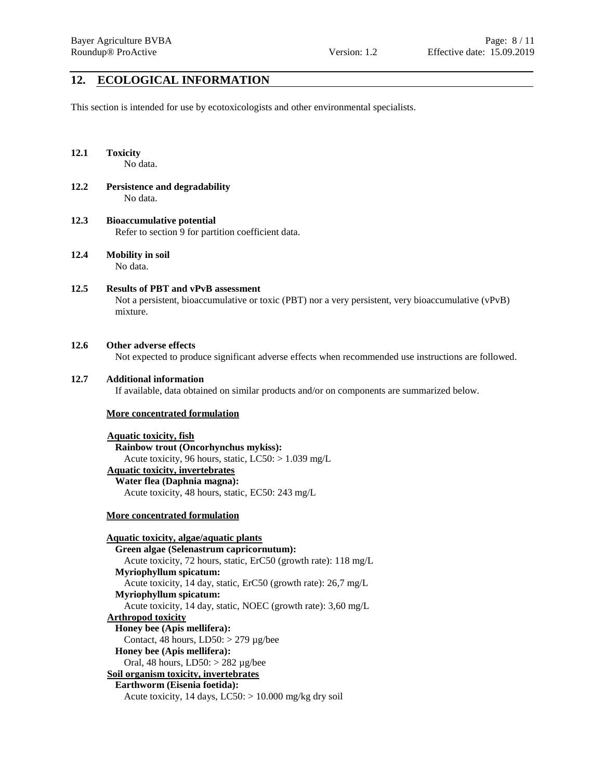## **12. ECOLOGICAL INFORMATION**

This section is intended for use by ecotoxicologists and other environmental specialists.

## **12.1 Toxicity**

No data.

- **12.2 Persistence and degradability** No data.
- **12.3 Bioaccumulative potential** Refer to section 9 for partition coefficient data.
- **12.4 Mobility in soil** No data.
- **12.5 Results of PBT and vPvB assessment** Not a persistent, bioaccumulative or toxic (PBT) nor a very persistent, very bioaccumulative (vPvB) mixture.

## **12.6 Other adverse effects**

Not expected to produce significant adverse effects when recommended use instructions are followed.

## **12.7 Additional information**

If available, data obtained on similar products and/or on components are summarized below.

## **More concentrated formulation**

**Aquatic toxicity, fish Rainbow trout (Oncorhynchus mykiss):** Acute toxicity, 96 hours, static, LC50: > 1.039 mg/L **Aquatic toxicity, invertebrates**

**Water flea (Daphnia magna):** Acute toxicity, 48 hours, static, EC50: 243 mg/L

## **More concentrated formulation**

**Aquatic toxicity, algae/aquatic plants Green algae (Selenastrum capricornutum):** Acute toxicity, 72 hours, static, ErC50 (growth rate): 118 mg/L **Myriophyllum spicatum:** Acute toxicity, 14 day, static, ErC50 (growth rate): 26,7 mg/L **Myriophyllum spicatum:** Acute toxicity, 14 day, static, NOEC (growth rate): 3,60 mg/L **Arthropod toxicity Honey bee (Apis mellifera):** Contact, 48 hours,  $LD50$ :  $>$  279 µg/bee **Honey bee (Apis mellifera):** Oral, 48 hours, LD50: > 282 µg/bee **Soil organism toxicity, invertebrates Earthworm (Eisenia foetida):** Acute toxicity, 14 days,  $LC50$ :  $> 10.000$  mg/kg dry soil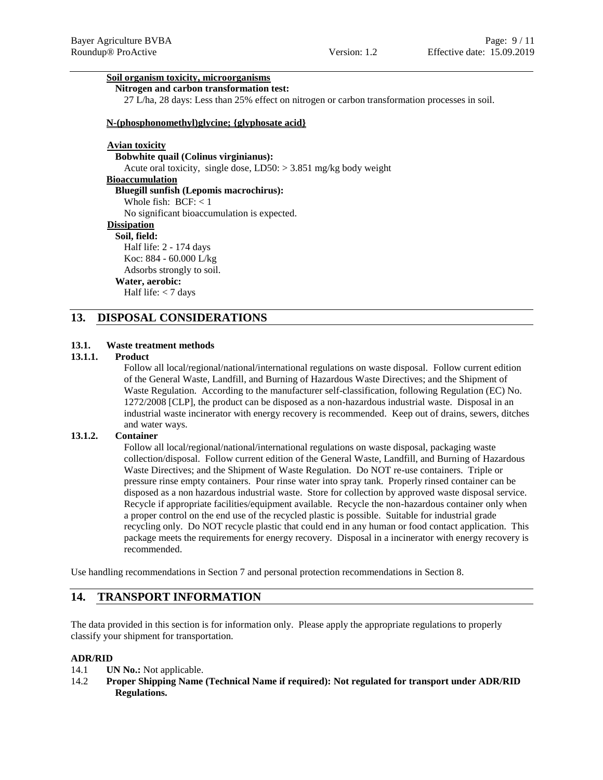## **Soil organism toxicity, microorganisms**

**Nitrogen and carbon transformation test:**

27 L/ha, 28 days: Less than 25% effect on nitrogen or carbon transformation processes in soil.

#### **N-(phosphonomethyl)glycine; {glyphosate acid}**

## **Avian toxicity**

**Bobwhite quail (Colinus virginianus):** Acute oral toxicity, single dose, LD50: > 3.851 mg/kg body weight **Bioaccumulation**

## **Bluegill sunfish (Lepomis macrochirus):**

Whole fish:  $BCF: < 1$ 

No significant bioaccumulation is expected.

## **Dissipation**

**Soil, field:** Half life: 2 - 174 days Koc: 884 - 60.000 L/kg Adsorbs strongly to soil. **Water, aerobic:** Half life: < 7 days

## **13. DISPOSAL CONSIDERATIONS**

## **13.1. Waste treatment methods**

## **13.1.1. Product**

Follow all local/regional/national/international regulations on waste disposal. Follow current edition of the General Waste, Landfill, and Burning of Hazardous Waste Directives; and the Shipment of Waste Regulation. According to the manufacturer self-classification, following Regulation (EC) No. 1272/2008 [CLP], the product can be disposed as a non-hazardous industrial waste. Disposal in an industrial waste incinerator with energy recovery is recommended. Keep out of drains, sewers, ditches and water ways.

#### **13.1.2. Container**

Follow all local/regional/national/international regulations on waste disposal, packaging waste collection/disposal. Follow current edition of the General Waste, Landfill, and Burning of Hazardous Waste Directives; and the Shipment of Waste Regulation. Do NOT re-use containers. Triple or pressure rinse empty containers. Pour rinse water into spray tank. Properly rinsed container can be disposed as a non hazardous industrial waste. Store for collection by approved waste disposal service. Recycle if appropriate facilities/equipment available. Recycle the non-hazardous container only when a proper control on the end use of the recycled plastic is possible. Suitable for industrial grade recycling only. Do NOT recycle plastic that could end in any human or food contact application. This package meets the requirements for energy recovery. Disposal in a incinerator with energy recovery is recommended.

Use handling recommendations in Section 7 and personal protection recommendations in Section 8.

## **14. TRANSPORT INFORMATION**

The data provided in this section is for information only. Please apply the appropriate regulations to properly classify your shipment for transportation.

#### **ADR/RID**

- 14.1 **UN No.:** Not applicable.
- 14.2 **Proper Shipping Name (Technical Name if required): Not regulated for transport under ADR/RID Regulations.**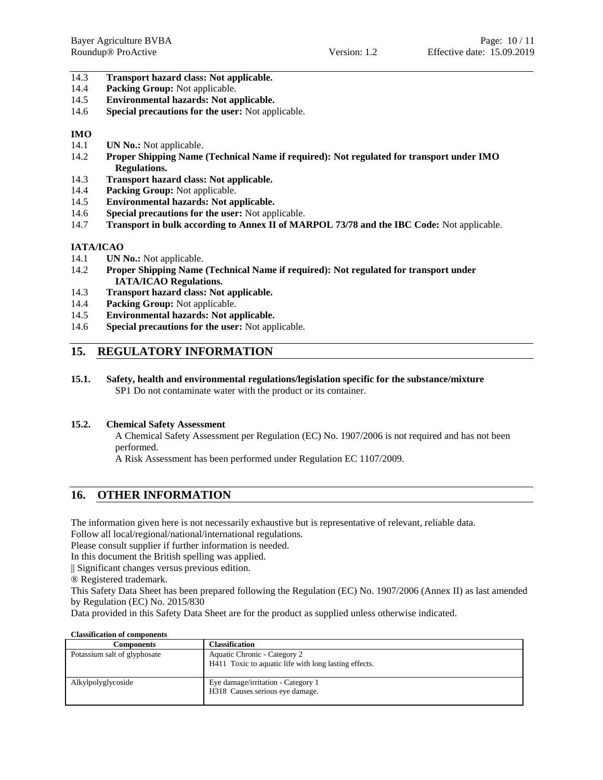## 14.3 **Transport hazard class: Not applicable.**

- 14.4 **Packing Group:** Not applicable.
- 14.5 **Environmental hazards: Not applicable.**
- 14.6 **Special precautions for the user:** Not applicable.

## **IMO**

- 14.1 **UN No.:** Not applicable.
- 14.2 **Proper Shipping Name (Technical Name if required): Not regulated for transport under IMO Regulations.**
- 14.3 **Transport hazard class: Not applicable.**
- 14.4 **Packing Group:** Not applicable.
- 14.5 **Environmental hazards: Not applicable.**
- 14.6 **Special precautions for the user:** Not applicable.
- 14.7 **Transport in bulk according to Annex II of MARPOL 73/78 and the IBC Code:** Not applicable.

## **IATA/ICAO**

- 14.1 **UN No.:** Not applicable.
- 14.2 **Proper Shipping Name (Technical Name if required): Not regulated for transport under IATA/ICAO Regulations.**
- 14.3 **Transport hazard class: Not applicable.**
- 14.4 **Packing Group:** Not applicable.
- 14.5 **Environmental hazards: Not applicable.**
- 14.6 **Special precautions for the user:** Not applicable.

## **15. REGULATORY INFORMATION**

**15.1. Safety, health and environmental regulations/legislation specific for the substance/mixture** SP1 Do not contaminate water with the product or its container.

## **15.2. Chemical Safety Assessment**

A Chemical Safety Assessment per Regulation (EC) No. 1907/2006 is not required and has not been performed.

A Risk Assessment has been performed under Regulation EC 1107/2009.

## **16. OTHER INFORMATION**

The information given here is not necessarily exhaustive but is representative of relevant, reliable data.

Follow all local/regional/national/international regulations.

Please consult supplier if further information is needed.

In this document the British spelling was applied.

|| Significant changes versus previous edition.

® Registered trademark.

This Safety Data Sheet has been prepared following the Regulation (EC) No. 1907/2006 (Annex II) as last amended by Regulation (EC) No. 2015/830

Data provided in this Safety Data Sheet are for the product as supplied unless otherwise indicated.

| <b>Classification of components</b> |                                                                                       |
|-------------------------------------|---------------------------------------------------------------------------------------|
| <b>Components</b>                   | <b>Classification</b>                                                                 |
| Potassium salt of glyphosate        | Aquatic Chronic - Category 2<br>H411 Toxic to aquatic life with long lasting effects. |
| Alkylpolyglycoside                  | Eye damage/irritation - Category 1<br>H318 Causes serious eye damage.                 |